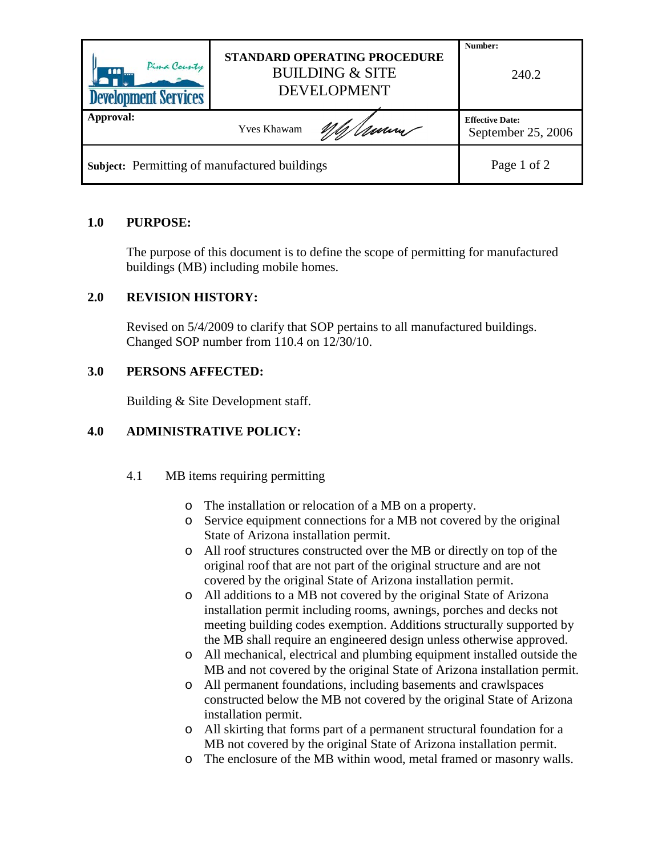| Pima County<br>$\blacksquare$<br><b>Development Services</b> | STANDARD OPERATING PROCEDURE<br><b>BUILDING &amp; SITE</b><br><b>DEVELOPMENT</b> | Number:<br>240.2                             |
|--------------------------------------------------------------|----------------------------------------------------------------------------------|----------------------------------------------|
| Approval:                                                    | <b>Yves Khawam</b>                                                               | <b>Effective Date:</b><br>September 25, 2006 |
| <b>Subject:</b> Permitting of manufactured buildings         |                                                                                  | Page 1 of 2                                  |

# **1.0 PURPOSE:**

The purpose of this document is to define the scope of permitting for manufactured buildings (MB) including mobile homes.

# **2.0 REVISION HISTORY:**

Revised on 5/4/2009 to clarify that SOP pertains to all manufactured buildings. Changed SOP number from 110.4 on 12/30/10.

# **3.0 PERSONS AFFECTED:**

Building & Site Development staff.

# **4.0 ADMINISTRATIVE POLICY:**

- 4.1 MB items requiring permitting
	- o The installation or relocation of a MB on a property.
	- o Service equipment connections for a MB not covered by the original State of Arizona installation permit.
	- o All roof structures constructed over the MB or directly on top of the original roof that are not part of the original structure and are not covered by the original State of Arizona installation permit.
	- o All additions to a MB not covered by the original State of Arizona installation permit including rooms, awnings, porches and decks not meeting building codes exemption. Additions structurally supported by the MB shall require an engineered design unless otherwise approved.
	- o All mechanical, electrical and plumbing equipment installed outside the MB and not covered by the original State of Arizona installation permit.
	- o All permanent foundations, including basements and crawlspaces constructed below the MB not covered by the original State of Arizona installation permit.
	- o All skirting that forms part of a permanent structural foundation for a MB not covered by the original State of Arizona installation permit.
	- o The enclosure of the MB within wood, metal framed or masonry walls.